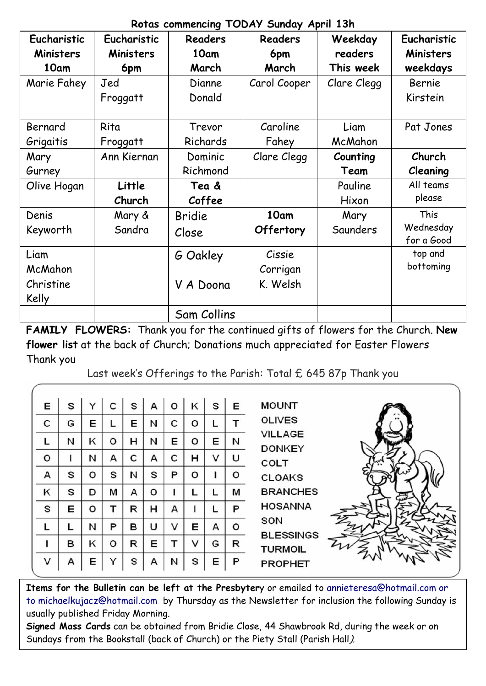| Eucharistic | Eucharistic | Readers     | Readers      | Weekday     | Eucharistic |
|-------------|-------------|-------------|--------------|-------------|-------------|
| Ministers   | Ministers   | 10am        | 6pm          | readers     | Ministers   |
| 10am        | 6pm         | March       | March        | This week   | weekdays    |
| Marie Fahey | Jed         | Dianne      | Carol Cooper | Clare Clegg | Bernie      |
|             | Froggatt    | Donald      |              |             | Kirstein    |
| Bernard     | Rita        | Trevor      | Caroline     | Liam        | Pat Jones   |
|             |             |             |              |             |             |
| Grigaitis   | Froggatt    | Richards    | Fahey        | McMahon     |             |
| Mary        | Ann Kiernan | Dominic     | Clare Clegg  | Counting    | Church      |
| Gurney      |             | Richmond    |              | Team        | Cleaning    |
| Olive Hogan | Little      | Tea &       |              | Pauline     | All teams   |
|             | Church      | Coffee      |              | Hixon       | please      |
| Denis       | Mary &      | Bridie      | 10am         | Mary        | This        |
| Keyworth    | Sandra      | Close       | Offertory    | Saunders    | Wednesday   |
|             |             |             |              |             | for a Good  |
| Liam        |             | G Oakley    | Cissie       |             | top and     |
| McMahon     |             |             | Corrigan     |             | bottoming   |
| Christine   |             | V A Doona   | K. Welsh     |             |             |
| Kelly       |             |             |              |             |             |
|             |             | Sam Collins |              |             |             |

**Rotas commencing TODAY Sunday April 13h**

**FAMILY FLOWERS:** Thank you for the continued gifts of flowers for the Church. **New flower list** at the back of Church; Donations much appreciated for Easter Flowers Thank you

Last week's Offerings to the Parish: Total £ 645 87p Thank you

| Е      | s | $\checkmark$ | c            | s | A       | O | ĸ       | s | Е | <b>MOUNT</b>                    |
|--------|---|--------------|--------------|---|---------|---|---------|---|---|---------------------------------|
| C      | G | Е            |              | Е | N       | C | $\circ$ |   |   | <b>OLIVES</b>                   |
|        | N | ĸ            | o            | н | N       | Е | o       | Е | N | <b>VILLAGE</b><br><b>DONKEY</b> |
| O      |   | N            | A            | с | A       | с | н       | ν | U | COLT                            |
| A      | s | $\Omega$     | s            | N | s       | P | o       |   | o | <b>CLOAKS</b>                   |
| κ      | s | D            | м            | А | $\circ$ |   |         |   | М | <b>BRANCHES</b>                 |
| s      | Е | o            | т            | R | н       | A |         |   | P | <b>HOSANNA</b>                  |
|        |   | N            | P            | в | U       | v | Е       | A | o | SON<br><b>BLESSINGS</b>         |
|        | в | ĸ            | o            | R | Е       |   | ν       | G | R | <b>TURMOIL</b>                  |
| $\vee$ | А | Е            | $\checkmark$ | s | A       | N | s       | Е | P | <b>PROPHET</b>                  |

**Items for the Bulletin can be left at the Presbyter**y or emailed to [annieteresa@hotmail.com or](mailto:annieteresa@hotmail.com%20or%20to%20michaelkujacz@hotmail.com%20%20b)  [to michaelkujacz@hotmail.com by](mailto:annieteresa@hotmail.com%20or%20to%20michaelkujacz@hotmail.com%20%20b) Thursday as the Newsletter for inclusion the following Sunday is usually published Friday Morning.

**Signed Mass Cards** can be obtained from Bridie Close, 44 Shawbrook Rd, during the week or on Sundays from the Bookstall (back of Church) or the Piety Stall (Parish Hall).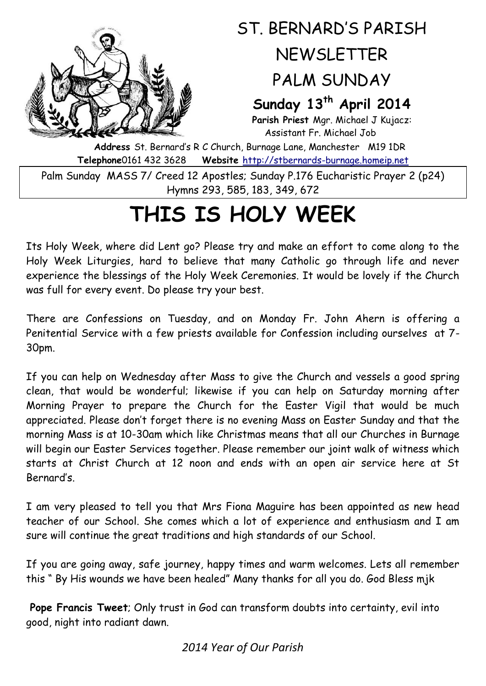

## ST. BERNARD'S PARISH NEWSLETTER

PALM SUNDAY

**Sunday 13th April 2014**

**Parish Priest** Mgr. Michael J Kujacz: Assistant Fr. Michael Job

**Address** St. Bernard's R C Church, Burnage Lane, Manchester M19 1DR **Telephone**0161 432 3628 **Website** [http://stbernards-burnage.homeip.net](http://stbernards-burnage.homeip.net/)

Palm Sunday MASS 7/ Creed 12 Apostles; Sunday P.176 Eucharistic Prayer 2 (p24) Hymns 293, 585, 183, 349, 672

## **THIS IS HOLY WEEK**

Its Holy Week, where did Lent go? Please try and make an effort to come along to the Holy Week Liturgies, hard to believe that many Catholic go through life and never experience the blessings of the Holy Week Ceremonies. It would be lovely if the Church was full for every event. Do please try your best.

There are Confessions on Tuesday, and on Monday Fr. John Ahern is offering a Penitential Service with a few priests available for Confession including ourselves at 7- 30pm.

If you can help on Wednesday after Mass to give the Church and vessels a good spring clean, that would be wonderful; likewise if you can help on Saturday morning after Morning Prayer to prepare the Church for the Easter Vigil that would be much appreciated. Please don't forget there is no evening Mass on Easter Sunday and that the morning Mass is at 10-30am which like Christmas means that all our Churches in Burnage will begin our Easter Services together. Please remember our joint walk of witness which starts at Christ Church at 12 noon and ends with an open air service here at St Bernard's.

I am very pleased to tell you that Mrs Fiona Maguire has been appointed as new head teacher of our School. She comes which a lot of experience and enthusiasm and I am sure will continue the great traditions and high standards of our School.

If you are going away, safe journey, happy times and warm welcomes. Lets all remember this " By His wounds we have been healed" Many thanks for all you do. God Bless mjk

**Pope Francis Tweet**; Only trust in God can transform doubts into certainty, evil into good, night into radiant dawn.

*2014 Year of Our Parish*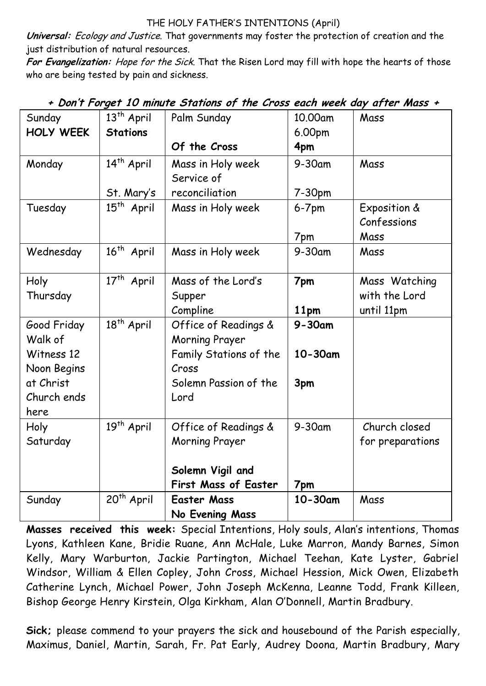## THE HOLY FATHER'S INTENTIONS (April)

**Universal:** Ecology and Justice. That governments may foster the protection of creation and the just distribution of natural resources.

**For Evangelization:** Hope for the Sick. That the Risen Lord may fill with hope the hearts of those who are being tested by pain and sickness.

| Sunday           | 13 <sup>th</sup> April            | Palm Sunday                 | 10.00am     | Mass             |
|------------------|-----------------------------------|-----------------------------|-------------|------------------|
| <b>HOLY WEEK</b> | <b>Stations</b>                   |                             | 6.00pm      |                  |
|                  |                                   |                             |             |                  |
|                  |                                   | Of the Cross                | 4pm         |                  |
| Monday           | $\overline{1}4^{\text{th}}$ April | Mass in Holy week           | $9-30$ am   | Mass             |
|                  |                                   | Service of                  |             |                  |
|                  | St. Mary's                        | reconciliation              | 7-30pm      |                  |
| Tuesday          | $15th$ April                      | Mass in Holy week           | $6-7$ pm    | Exposition &     |
|                  |                                   |                             |             | Confessions      |
|                  |                                   |                             | 7pm         | Mass             |
| Wednesday        | 16 <sup>th</sup> April            | Mass in Holy week           | 9-30am      | Mass             |
|                  |                                   |                             |             |                  |
| Holy             | 17 <sup>th</sup> April            | Mass of the Lord's          | 7pm         | Mass Watching    |
| Thursday         |                                   | Supper                      |             | with the Lord    |
|                  |                                   | Compline                    | 11pm        | until 11pm       |
| Good Friday      | 18 <sup>th</sup> April            | Office of Readings &        | $9 - 30$ am |                  |
| Walk of          |                                   | Morning Prayer              |             |                  |
| Witness 12       |                                   | Family Stations of the      | 10-30am     |                  |
| Noon Begins      |                                   | Cross                       |             |                  |
| at Christ        |                                   | Solemn Passion of the       | 3pm         |                  |
| Church ends      |                                   | Lord                        |             |                  |
| here             |                                   |                             |             |                  |
| Holy             | 19 <sup>th</sup> April            | Office of Readings &        | 9-30am      | Church closed    |
| Saturday         |                                   | Morning Prayer              |             | for preparations |
|                  |                                   |                             |             |                  |
|                  |                                   | Solemn Vigil and            |             |                  |
|                  |                                   | <b>First Mass of Easter</b> | 7pm         |                  |
| Sunday           | 20 <sup>th</sup> April            | <b>Easter Mass</b>          | $10-30$ am  | Mass             |
|                  |                                   | No Evening Mass             |             |                  |

## **+ Don't Forget 10 minute Stations of the Cross each week day after Mass +**

**Masses received this week:** Special Intentions, Holy souls, Alan's intentions, Thomas Lyons, Kathleen Kane, Bridie Ruane, Ann McHale, Luke Marron, Mandy Barnes, Simon Kelly, Mary Warburton, Jackie Partington, Michael Teehan, Kate Lyster, Gabriel Windsor, William & Ellen Copley, John Cross, Michael Hession, Mick Owen, Elizabeth Catherine Lynch, Michael Power, John Joseph McKenna, Leanne Todd, Frank Killeen, Bishop George Henry Kirstein, Olga Kirkham, Alan O'Donnell, Martin Bradbury.

**Sick;** please commend to your prayers the sick and housebound of the Parish especially, Maximus, Daniel, Martin, Sarah, Fr. Pat Early, Audrey Doona, Martin Bradbury, Mary